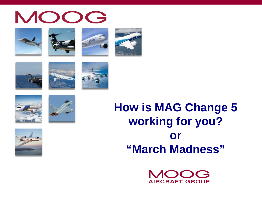



















## **How is MAG Change 5 working for you? or "March Madness"**

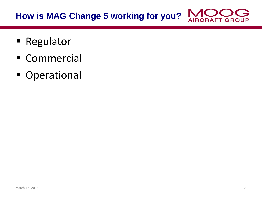#### **How is MAG Change 5 working for you? AIRCRAFT GROUP**

- Regulator
- **Commercial**
- **Operational**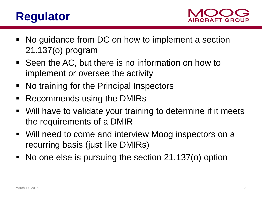#### **Regulator**



- No guidance from DC on how to implement a section 21.137(o) program
- Seen the AC, but there is no information on how to implement or oversee the activity
- No training for the Principal Inspectors
- Recommends using the DMIRs
- Will have to validate your training to determine if it meets the requirements of a DMIR
- Will need to come and interview Moog inspectors on a recurring basis (just like DMIRs)
- No one else is pursuing the section 21.137(o) option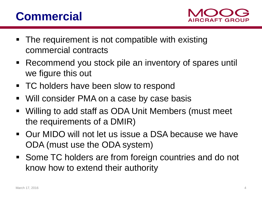### **Commercial**



- The requirement is not compatible with existing commercial contracts
- Recommend you stock pile an inventory of spares until we figure this out
- TC holders have been slow to respond
- Will consider PMA on a case by case basis
- Willing to add staff as ODA Unit Members (must meet the requirements of a DMIR)
- Our MIDO will not let us issue a DSA because we have ODA (must use the ODA system)
- Some TC holders are from foreign countries and do not know how to extend their authority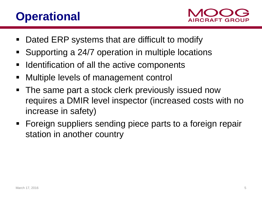#### **Operational**



- Dated ERP systems that are difficult to modify
- Supporting a 24/7 operation in multiple locations
- **IDENT** Identification of all the active components
- **Nultiple levels of management control**
- The same part a stock clerk previously issued now requires a DMIR level inspector (increased costs with no increase in safety)
- **Foreign suppliers sending piece parts to a foreign repair** station in another country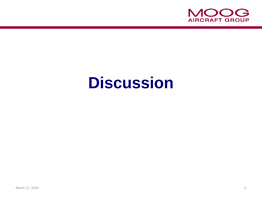

# **Discussion**